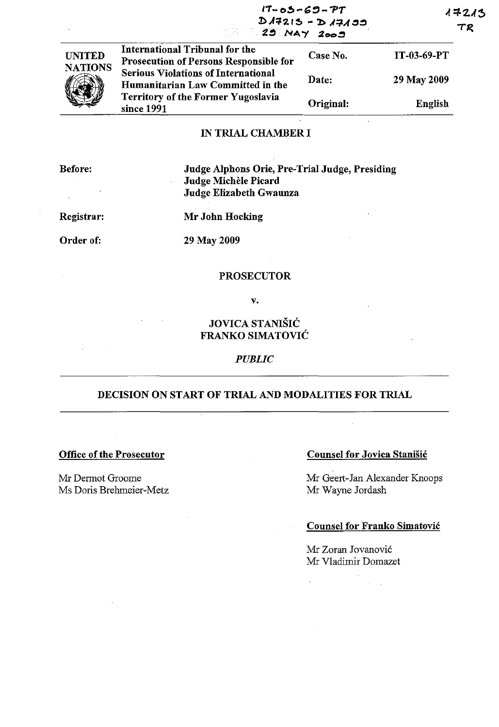|                                 | $17 - 05 - 69 - 77$<br>$D A7215 - D A7A33$                                                                                                                                                                                    |           | 17213<br>TR        |  |
|---------------------------------|-------------------------------------------------------------------------------------------------------------------------------------------------------------------------------------------------------------------------------|-----------|--------------------|--|
| <b>UNITED</b><br><b>NATIONS</b> | International Tribunal for the<br><b>Prosecution of Persons Responsible for</b><br><b>Serious Violations of International</b><br>Humanitarian Law Committed in the<br><b>Territory of the Former Yugoslavia</b><br>since 1991 | Case No.  | <b>IT-03-69-PT</b> |  |
|                                 |                                                                                                                                                                                                                               | Date:     | 29 May 2009        |  |
|                                 |                                                                                                                                                                                                                               | Original: | English            |  |

## IN TRIAL CHAMBER I

Before:

Judge Alphons Orie, Pre-Trial Judge, Presiding Judge Michele Picard Judge Elizabeth Gwaunza

Registrar:

 $\sim$ 

Mr John Hocking

Order of:

29 May 2009

## **PROSECUTOR**

v.

JOVICA STANIŠIĆ FRANKO SIMATOVIC

#### *PUBLIC*

# DECISION ON START OF TRIAL AND MODALITIES FOR TRIAL

 $\mathcal{L}$ 

 $\hat{\mathcal{A}}$ 

## Office of the Prosecutor

Mr Dermot Groome Ms Doris Brebmeier-Metz

# Counsel for Jovica Stanišić

Mr Geert-Jan Alexander Knoops Mr Wayne Jordash

#### Counsel for Franko Simatovic

 $\sim 10^{-1}$  .

Mr Zoran Jovanovic Mr Vladimir Domazet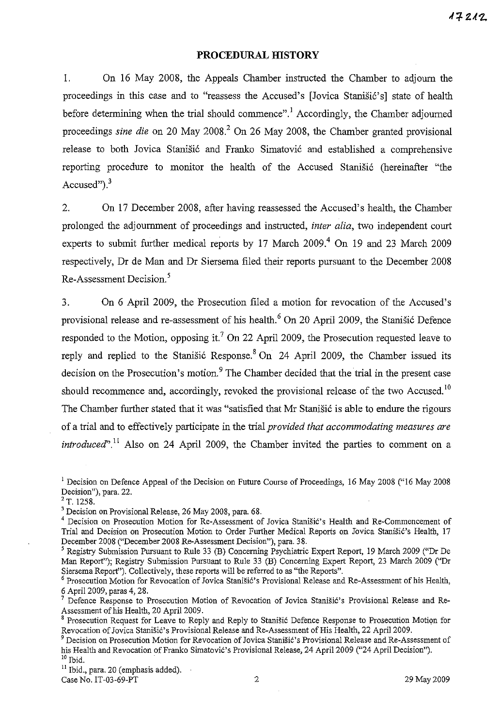### **PROCEDURAL mSTORY**

I. On 16 May 2008, the Appeals Chamber instructed the Chamber to adjourn the proceedings in this case and to "reassess the Accused's [Jovica Stanisic's] state of health before determining when the trial should commence".<sup>1</sup> Accordingly, the Chamber adjourned proceedings *sine die* on 20 May 2008<sup>2</sup> On 26 May 2008, the Chamber granted provisional release to both Jovica Stanišić and Franko Simatović and established a comprehensive reporting procedure to monitor the health of the Accused Stanišić (hereinafter "the Accused" $)$ , $^{3}$ 

2. On 17 December 2008, after having reassessed the Accused's health, the Chamber prolonged the adjournment of proceedings and instructed, *inter alia,* two independent court experts to submit further medical reports by 17 March  $2009$ .<sup>4</sup> On 19 and 23 March 2009 respectively, Dr de Man and Dr Siersema filed their reports pursuant to the December 2008 Re-Assessment Decision. <sup>5</sup>

3. On 6 April 2009, the Prosecution filed a motion for revocation of the Accused's provisional release and re-assessment of his health.<sup>6</sup> On 20 April 2009, the Stanisic Defence responded to the Motion, opposing it.<sup>7</sup> On 22 April 2009, the Prosecution requested leave to reply and replied to the Stanisic Response.<sup>8</sup> On 24 April 2009, the Chamber issued its decision on the Prosecution's motion.<sup>9</sup> The Chamber decided that the trial in the present case should recommence and, accordingly, revoked the provisional release of the two Accused.<sup>10</sup> The Chamber further stated that it was "satisfied that Mr Stanišić is able to endure the rigours of a trial and to effectively participate in the trial *provided that accommodating measures are introduced*<sup> $n$ </sup>.<sup>11</sup> Also on 24 April 2009, the Chamber invited the parties to comment on a

 $2^2$  T. 1258.

<sup>11</sup> Ibid., para. 20 (emphasis added). Case No. IT-03-69-PT 2 29 May 2009

<sup>&</sup>lt;sup>1</sup> Decision on Defence Appeal of the Decision on Future Course of Proceedings, 16 May 2008 ("16 May 2008 **Decision"), para. 22.** 

<sup>3</sup> Decision on Provisional Release, 26 May 2008, para. 68.

<sup>&</sup>lt;sup>4</sup> Decision on Prosecution Motion for Re-Assessment of Jovica Stanišić's Health and Re-Commencement of Trial and Decision on Prosecution Motion to Order Further Medical Reports on Jovica Stanišić's Health, 17 December 2008 ("December 2008 Re-Assessment Decision"), para. 38.

<sup>&</sup>lt;sup>5</sup> Registry Submission Pursuant to Rule 33 (B) Concerning Psychiatric Expert Report, 19 March 2009 ("Dr De Man Report"); Registry Submission Pursuant to Rule 33 (B) Concerning Expert Report, 23 March 2009 ("Dr Siersema Report"). Collectively, these reports will be referred to as "the Reports".

 $<sup>6</sup>$  Prosecution Motion for Revocation of Jovica Stanišić's Provisional Release and Re-Assessment of his Health,</sup> 6 April 2009, paras 4, 28.

Defence Response to Prosecution Motion of Revocation of Jovica Stanišić's Provisional Release and Re-Assessment of his Health, 20 April 2009.

 $8$  Prosecution Request for Leave to Reply and Reply to Stanišić Defence Response to Prosecution Motion for Revocation of Jovica Stanišić's Provisional Release and Re-Assessment of His Health, 22 April 2009.

 $^9$  Decision on Prosecution Motion for Revocation of Jovica Stanišić's Provisional Release and Re-Assessment of his Health and Revocation of Franko Simatović's Provisional Release, 24 April 2009 ("24 April Decision").  $10$  Ibid.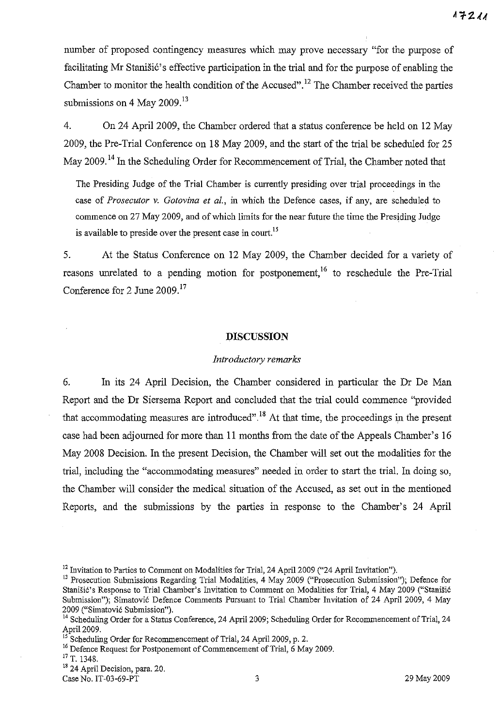number of proposed contingency measures which may prove necessary "for the purpose of facilitating Mr Stanišić's effective participation in the trial and for the purpose of enabling the Chamber to monitor the health condition of the Accused". 12 The Chamber received the parties submissions on 4 May  $2009<sup>13</sup>$ 

4. On 24 April 2009, the Chamber ordered that a status conference be held on 12 May 2009, the Pre-Trial Conference on 18 May 2009, and the start of the trial be scheduled for 25 May 2009.<sup>14</sup> In the Scheduling Order for Recommencement of Trial, the Chamber noted that

The Presiding Judge of the Trial Chamber is currently presiding over trial proceedings in the case of *Prosecutor* v. *Gotovina et al.,* in which the Defence cases, if any, are scheduled to commence on 27 May 2009, and of which limits for the near future the time the Presiding Judge is available to preside over the present case in court.<sup>15</sup>

5. At the Status Conference on 12 May 2009, the Chamber decided for a variety of reasons unrelated to a pending motion for postponement,<sup>16</sup> to reschedule the Pre-Trial Conference for 2 June 2009.<sup>17</sup>

## **DISCUSSION**

#### *Introductory remarks*

6. In its 24 April Decision, the Chamber considered in particular the Dr De Man Report and the Dr Siersema Report and concluded that the trial could commence "provided that accommodating measures are introduced".<sup>18</sup> At that time, the proceedings in the present case had been adjourned for more than 11 months from the date of the Appeals Chamber's 16 May 2008 Decision. In the present Decision, the Chamber will set out the modalities for the trial, including the "accommodating measures" needed in order to start the trial. In doing so, the Chamber will consider the medical situation of the Accused, as set out in the mentioned Reports, and the submissions by the parties in response to the Chamber's 24 April

Case No. IT-03-69-PT 3 29 May 2009

<sup>&</sup>lt;sup>12</sup> Invitation to Parties to Comment on Modalities for Trial, 24 April 2009 ("24 April Invitation").

<sup>&</sup>lt;sup>13</sup> Prosecution Submissions Regarding Trial Modalities, 4 May 2009 ("Prosecution Submission"); Defence for Stanišić's Response to Trial Chamber's Invitation to Comment on Modalities for Trial, 4 May 2009 ("Stanišić Submission"); Simatović Defence Comments Pursuant to Trial Chamber Invitation of 24 April 2009, 4 May 2009 ("Simatovi6 Submission").

<sup>&</sup>lt;sup>14</sup> Scheduling Order for a Status Conference, 24 April 2009; Scheduling Order for Recommencement of Trial, 24 April 2009.

<sup>&</sup>lt;sup>15</sup> Scheduling Order for Recommencement of Trial, 24 April 2009, p. 2.

<sup>&</sup>lt;sup>16</sup> Defence Request for Postponement of Commencement of Trial, 6 May 2009.

<sup>17</sup> T. 1348.

<sup>&</sup>lt;sup>18</sup> 24 April Decision, para. 20.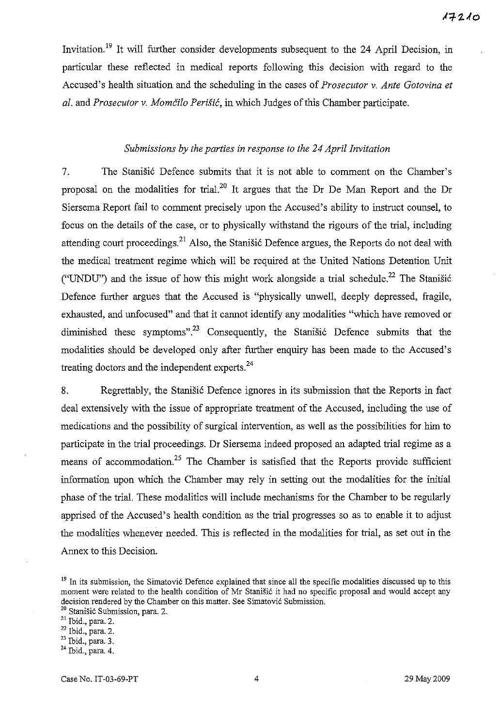Invitation.<sup>19</sup> It will further consider developments subsequent to the 24 April Decision, in particular these reflected in medical reports following this decision with regard to the Accused's health situation and the scheduling in the cases of *Prosecutor* v. *Ante Gotovina et al.* and *Prosecutor* v. *Momcilo PeriSie,* in which Judges of this Chamber participate.

## *Submissions by the parties in response to the* 24 *April Invitation*

7. The Stanistic Defence submits that it is not able to comment on the Chamber's proposal on the modalities for trial.2o It argues that the Dr De Man Report and the Dr Siersema Report fail to comment precisely upon the Accused's ability to instruct counsel, to focus on the details of the case, or to physically withstand the rigours of the trial, including attending court proceedings.<sup>21</sup> Also, the Stanistic Defence argues, the Reports do not deal with the medical treatment regime which will be required at the United Nations Detention Unit ("UNDU") and the issue of how this might work alongside a trial schedule.<sup>22</sup> The Stanišić Defence further argues that the Accused is "physically unwell, deeply depressed, fragile, exhausted, and unfocused" and that it cannot identify any modalities "which have removed or diminished these symptoms".<sup>23</sup> Consequently, the Stanisic Defence submits that the modalities should be developed only after further enquiry has been made to the Accused's treating doctors and the independent experts.<sup>24</sup>

8. Regrettably, the Stanisic Defence ignores in its submission that the Reports in fact deal extensively with the issue of appropriate treatment of the Accused, including the use of medications and the possibility of surgical intervention, as well as the possibilities for him to participate in the trial proceedings. Dr Siersema indeed proposed an adapted trial regime as a means of accommodation.<sup>25</sup> The Chamber is satisfied that the Reports provide sufficient information upon which the Chamber may rely in setting out the modalities for the initial phase of the trial. These modalities will include mechanisms for the Chamber to be regularly apprised of the Accused's health condition as the trial progresses so as to enable it to adjust the modalities whenever needed. This is reflected in the modalities for trial, as set out in the Annex to this Decision.

<sup>&</sup>lt;sup>19</sup> In its submission, the Simatovic Defence explained that since all the specific modalities discussed up to this moment were related to the health condition of Mr Stanišić it had no specific proposal and would accept any decision rendered by the Chamber on this matter. See Simatović Submission.

<sup>&</sup>lt;sup>20</sup> Stanišić Submission, para. 2.

<sup>21</sup> Ibid., para. 2.

 $22$  Ibid., para. 2.

**<sup>23</sup> Ibid., para. 3.** 

<sup>24</sup> Ibid., para. 4.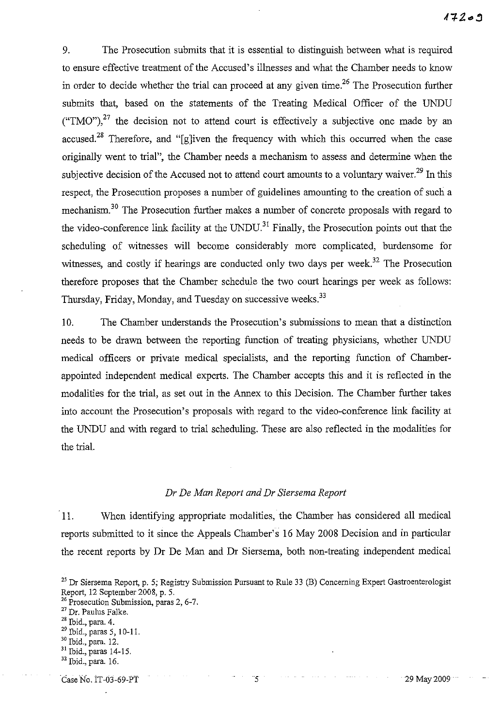9. The Prosecution submits that it is essential to distinguish between what is required to ensure effective treatment of the Accused's illnesses and what the Chamber needs to know in order to decide whether the trial can proceed at any given time.<sup>26</sup> The Prosecution further submits that, based on the statements of the Treating Medical Officer of the UNDU ("TMO"),<sup>27</sup> the decision not to attend court is effectively a subjective one made by an accused.<sup>28</sup> Therefore, and "[g]iven the frequency with which this occurred when the case originally went to trial", the Chamber needs a mechanism to assess and determine when the subjective decision of the Accused not to attend court amounts to a voluntary waiver.<sup>29</sup> In this respect, the Prosecution proposes a number of guidelines amounting to the creation of such a mechanism.<sup>30</sup> The Prosecution further makes a number of concrete proposals with regard to the video-conference link facility at the UNDU.<sup>31</sup> Finally, the Prosecution points out that the scheduling of witnesses will become considerably more complicated, burdensome for witnesses, and costly if hearings are conducted only two days per week.<sup>32</sup> The Prosecution therefore proposes that the Chamber schedule the two court hearings per week as follows: Thursday, Friday, Monday, and Tuesday on successive weeks.<sup>33</sup>

10. The Chamber understands the Prosecution's submissions to mean that a distinction needs to be drawn between the reporting function of treating physicians, whether UNDU medical officers or private medical specialists, and the reporting function of Chamberappointed independent medical experts. The Chamber accepts this and it is reflected in the modalities for the trial, as set out in the Annex to this Decision. The Chamber further takes into account the Prosecution's proposals with regard to the video-conference link facility at the UNDU and with regard to trial scheduling. These are also reflected in the modalities for the trial.

## *Dr De Man Report and Dr Siersema Report*

11. When identifying appropriate modalities, the Chamber has considered all medical reports submitted to it since the Appeals Chamber's 16 May 2008 Decision and in particular the recent reports by Dr De Man and Dr Siersema, both non-treating independent medical

Case No. 1T-03-69-PT 5 29 May 2009

<sup>&</sup>lt;sup>25</sup> Dr Siersema Report, p. 5; Registry Submission Pursuant to Rule 33 (B) Concerning Expert Gastroenterologist Report, 12 September 2008, p. 5.

**<sup>26</sup> Prosecution Submission, paras 2, 6-7.** 

<sup>27</sup> Dr. Paulus Falke.

<sup>28</sup> Ibid., para. 4.

<sup>29</sup> Ibid., paras 5, 10-1l.

<sup>30</sup> Ibid., para. 12.

<sup>31</sup> Ibid., paras 14-15.

<sup>&</sup>lt;sup>32</sup> Ibid., para. 16.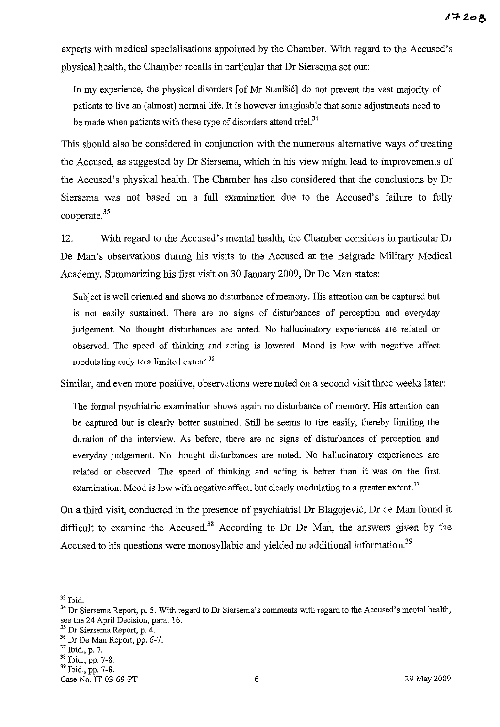experts with medical specialisations appointed by the Chamber. With regard to the Accused's physical health, the Chamber recalls in particular that Dr Siersema set out:

In my experience, the physical disorders [of Mr Stanišić] do not prevent the vast majority of patients to live an (almost) normal life. It is however imaginable that some adjustments need to be made when patients with these type of disorders attend trial.<sup>34</sup>

This should also be considered in conjunction with the numerous alternative ways of treating the Accused, as suggested by Dr Siersema, which in his view might lead to improvements of the Accused's physical health. The Chamber has also considered that the conclusions by Dr Siersema was not based on a full examination due to the Accused's failure to fully cooperate.<sup>35</sup>

12. With regard to the Accused's mental health, the Chamber considers in particular Dr De Man's observations during his visits to the Accused at the Belgrade Military Medical Academy. Summarizing his first visit on 30 January 2009, Dr De Man states:

Subject is well oriented and shows no disturbance of memory. His attention can be captured but is not easily sustained. There are no signs of disturbances of perception and everyday judgement. No thought disturbances are noted. No hallucinatory experiences are related or observed. The speed of thinking and acting is lowered. Mood is low with negative affect modulating only to a limited extent.<sup>36</sup>

Similar, and even more positive, observations were noted on a second visit three weeks later:

The formal psychiatric examination shows again no disturbance of memory. His attention can be captured but is clearly better sustained. Still he seems to tire easily, thereby limiting the duration of the interview. As before, there are no signs of disturbances of perception and everyday judgement. No thought disturbances are noted. No hallucinatory experiences are related or observed. The speed of thinking and acting is better than it was on the first examination. Mood is low with negative affect, but clearly modulating to a greater extent. $37$ 

On a third visit, conducted in the presence of psychiatrist Dr Blagojevi6, Dr de Man found it difficult to examine the Accused.<sup>38</sup> According to Dr De Man, the answers given by the Accused to his questions were monosyllabic and yielded no additional information.<sup>39</sup>

 $33$  Ibid.

<sup>&</sup>lt;sup>34</sup> Dr Siersema Report, p. 5. With regard to Dr Siersema's comments with regard to the Accused's mental health, see the 24 April Decision, para. 16. 35 Dr Siersema Report, p. 4.  $^{36}$  Dr De Man Report, pp. 6-7.<br> $^{37}$  Ibid., p. 7.

<sup>&</sup>lt;sup>38</sup> Ibid., pp. 7-8.  $39$  Ibid., pp. 7-8.

Case No. IT-03-69-PT 6 29 May 2009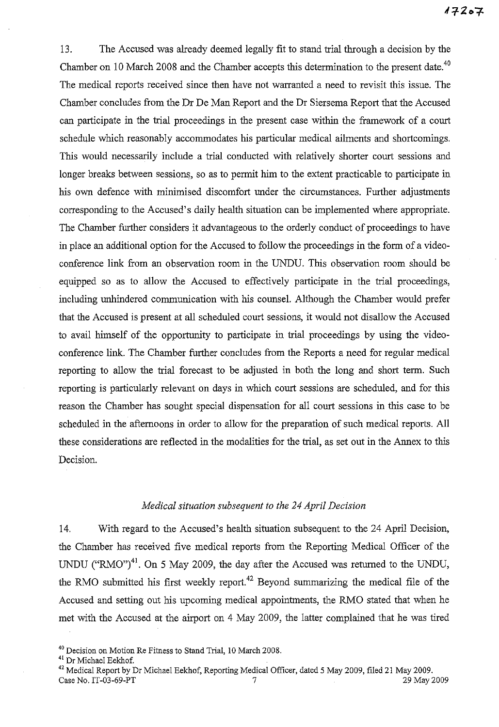13. The Accused was already deemed legally fit to stand trial through a decision by the Chamber on 10 March 2008 and the Chamber accepts this determination to the present date.<sup>40</sup> The medical reports received since then have not warranted a need to revisit this issue. The Chamber concludes from the Dr De Man Report and the Dr Siersema Report that the Accused can participate in the trial proceedings in the present case within the framework of a court schedule which reasonably accommodates his particular medical ailments and shortcomings. This would necessarily include a trial conducted with relatively shorter court sessions and longer breaks between sessions, so as to permit him to the extent practicable to participate in his own defence with minimised discomfort under the circumstances. Further adjustments corresponding to the Accused's daily health situation can be implemented where appropriate. The Chamber further considers it advantageous to the orderly conduct of proceedings to have in place an additional option for the Accused to follow the proceedings in the form of a videoconference link from an observation room in the UNDU. This observation room should be equipped so as to allow the Accused to effectively participate in the trial proceedings, including unhindered communication with his counsel. Although the Chamber would prefer that the Accused is present at all scheduled court sessions, it would not disallow the Accused to avail himself of the opportunity to participate in trial proceedings by using the videoconference link. The Chamber further concludes from the Reports a need for regular medical reporting to allow the trial forecast to be adjusted in both the long and short term. Such reporting is particularly relevant on days in which court sessions are scheduled, and for this reason the Chamber has sought special dispensation for all court sessions in this case to be scheduled in the afternoons in order to allow for the preparation of such medical reports. All these considerations are reflected in the modalities for the trial, as set out in the Annex to this Decision.

### *Medical situation subsequent to the* 24 *April Decision*

14. With regard to the Accused's health situation subsequent to the 24 April Decision, the Chamber has received five medical reports from the Reporting Medical Officer of the UNDU ("RMO")<sup>41</sup>. On 5 May 2009, the day after the Accused was returned to the UNDU, the RMO submitted his first weekly report.<sup>42</sup> Beyond summarizing the medical file of the Accused and setting out his upcoming medical appointments, the RMO stated that when he met with the Accused at the airport on 4 May 2009, the latter complained that he was tired

<sup>40</sup> Decision on Motion Re Fitness to Stand Trial, 10 March 2008.

<sup>&</sup>lt;sup>41</sup> Dr Michael Eekhof.

<sup>42</sup> Medical Report by Dr Michael Eekhof, Reporting Medical Officer, dated 5 May 2009, filed 21 May 2009. Case No. IT-03-69-PT  $\overline{7}$  7 29 May 2009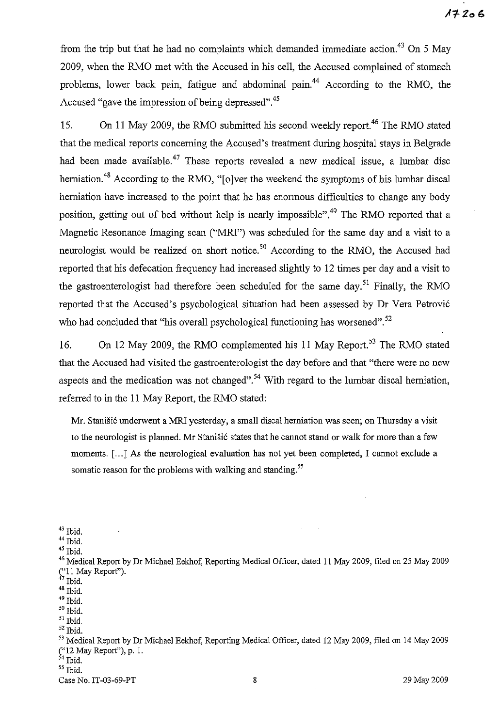from the trip but that he had no complaints which demanded immediate action.<sup>43</sup> On 5 May 2009, when the RMO met with the Accused in his cell, the Accused complained of stomach problems, lower back pain, fatigue and abdominal pain.<sup>44</sup> According to the RMO, the Accused "gave the impression of being depressed".<sup>45</sup>

15. On 11 May 2009, the RMO submitted his second weekly report.<sup>46</sup> The RMO stated that the medical reports concerning the Accused's treatment during hospital stays in Belgrade had been made available.<sup>47</sup> These reports revealed a new medical issue, a lumbar disc herniation.<sup>48</sup> According to the RMO, "[o]ver the weekend the symptoms of his lumbar discal herniation have increased to the point that he has enormous difficulties to change any body position, getting out of bed without help is nearly impossible". 49 The RMO reported that a Magnetic Resonance Imaging scan ("MRI") was scheduled for the same day and a visit to a neurologist would be realized on short notice.<sup>50</sup> According to the RMO, the Accused had reported that his defecation frequency had increased slightly to 12 times per day and a visit to the gastroenterologist had therefore been scheduled for the same day.<sup>51</sup> Finally, the RMO reported that the Accused's psychological situation had been assessed by Dr Vera Petrovic who had concluded that "his overall psychological functioning has worsened".<sup>52</sup>

16. On 12 May 2009, the RMO complemented his 11 May Report.<sup>53</sup> The RMO stated that the Accused had visited the gastroenterologist the day before and that "there were no new aspects and the medication was not changed".<sup>54</sup> With regard to the lumbar discal herniation, referred to in the 11 May Report, the RMO stated:

Mr. Stanišić underwent a MRI yesterday, a small discal herniation was seen; on Thursday a visit to the neurologist is planned. Mr Stanišić states that he cannot stand or walk for more than a few moments. [ ... J As the neurological evaluation has not yet been completed, I cannot exclude a somatic reason for the problems with walking and standing.<sup>55</sup>

 $^{45}$  Ibid.

- $^{\rm 50}$  Ibid.
- 51 Ibid.  $^{\rm 52}$  Ibid.

 $43$  Ibid.

 $^{44}$  Ibid.

<sup>46</sup> Medical Report by Dr Michael Eekhof, Reporting Medical Officer, dated II May 2009, filed on 25 May 2009 ("II May Report").

 $47$  Ibid.

 $48$  Ibid.

<sup>&</sup>lt;sup>49</sup> Ibid.

<sup>&</sup>lt;sup>53</sup> Medical Report by Dr Michael Eekhof, Reporting Medical Officer, dated 12 May 2009, filed on 14 May 2009 ("12 May Report"), p. I.

 $\frac{1}{54}$  Ibid.  $<sup>55</sup>$  Ibid.</sup>

Case No. IT-03-69-PT 2009 8 29 May 2009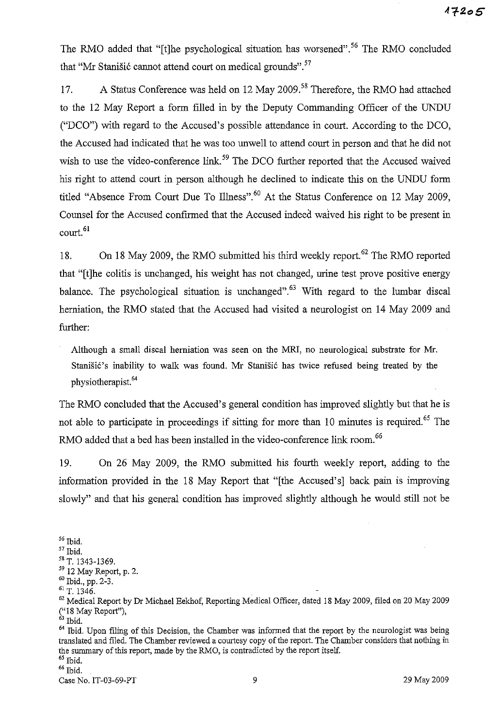The RMO added that "[t]he psychological situation has worsened".<sup>56</sup> The RMO concluded that "Mr Stanišić cannot attend court on medical grounds".<sup>57</sup>

17. A Status Conference was held on 12 May 2009.<sup>58</sup> Therefore, the RMO had attached to the 12 May Report a form filled in by the Deputy Commanding Officer of the UNDU ("DCO") with regard to the Accused's possible attendance in court. According to the DCO, the Accused had indicated that he was too unwell to attend court in person and that he did not wish to use the video-conference link.<sup>59</sup> The DCO further reported that the Accused waived his right to attend court in person although he declined to indicate this on the UNDU form titled "Absence From Court Due To Illness".<sup>60</sup> At the Status Conference on 12 May 2009, Counsel for the Accused confirmed that the Accused indeed waived his right to be present in court.<sup>61</sup>

18. On 18 May 2009, the RMO submitted his third weekly report.<sup>62</sup> The RMO reported that "[t]he colitis is unchanged, his weight has not changed, urine test prove positive energy balance. The psychological situation is unchanged".<sup>63</sup> With regard to the lumbar discal herniation, the RMO stated that the Accused had visited a neurologist on 14 May 2009 and further:

Although a small discal herniation was seen on the MRI, no neurological substrate for Mr. Stanišić's inability to walk was found. Mr Stanišić has twice refused being treated by the physiotherapist.<sup>64</sup>

The RMO concluded that the Accused's general condition has improved slightly but that he is not able to participate in proceedings if sitting for more than 10 minutes is required.<sup>65</sup> The RMO added that a bed has been installed in the video-conference link room.<sup>66</sup>

19. On 26 May 2009, the RMO submitted his fourth weekly report, adding to the information provided in the 18 May Report that "[the Accused's] back pain is improving slowly" and that his general condition has improved slightly although he would still not be

 $56$  Ibid. 57 Ibid. <sup>58</sup> T. 1343-1369. 59 12 May Report, p. 2.  $60$  Ibid., pp.  $2-3$ . 61 T. 1346. <sup>62</sup> Medical Report by Dr Michael Eekhof, Reporting Medical Officer, dated 18 May 2009, filed on 20 May 2009 ("18 May Report"),  $63$  Ibid.  $64$  Ibid. Upon filing of this Decision, the Chamber was informed that the report by the neurologist was being translated and filed. The Chamber reviewed a courtesy copy of the report. The Chamber considers that nothing in the summary of this report, made by the RMO, is contradicted by the report itself. 65 Ibid. 66 Ibid. Case No. IT-03-69-PT 9 29 May 2009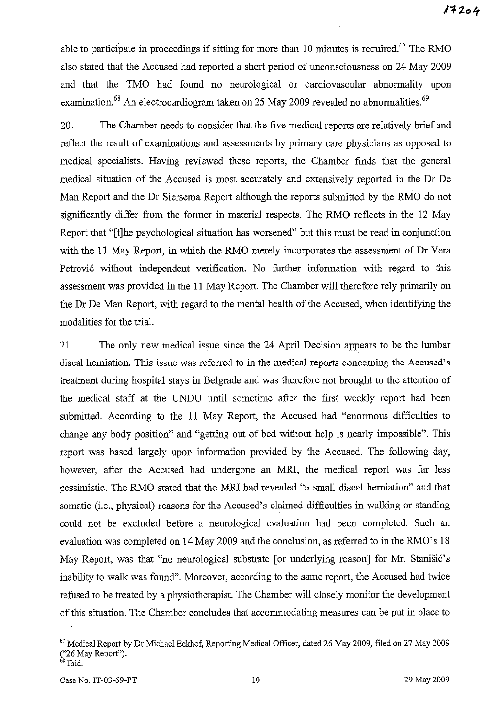able to participate in proceedings if sitting for more than 10 minutes is required.<sup>67</sup> The RMO also stated that the Accused had reported a short period of unconsciousness on 24 May 2009 and that the TMO had found no neurological or cardiovascular abnormality upon examination.<sup>68</sup> An electrocardiogram taken on 25 May 2009 revealed no abnormalities.<sup>69</sup>

20. The Chamber needs to consider that the five medical reports are relatively brief and reflect the result of examinations and assessments by primary care physicians as opposed to medical specialists. Having reviewed these reports, the Chamber finds that the general medical situation of the Accused is most accurately and extensively reported in the Dr De Man Report and the Dr Siersema Report although the reports submitted by the RMO do not significantly differ from the former in material respects. The RMO reflects in the 12 May Report that "[t]he psychological situation has worsened" but this must be read in conjunction with the 11 May Report, in which the RMO merely incorporates the assessment of Dr Vera Petrovic without independent verification. No further information with regard to this assessment was provided in the **11** May Report. The Chamber will therefore rely primarily on the Dr De Man Report, with regard to the mental health of the Accused, when identifying the modalities for the trial.

21. The only new medical issue since the 24 April Decision appears to be the lumbar discal herniation. This issue was referred to in the medical reports concerning the Accused's treatment during hospital stays in Belgrade and was therefore not brought to the attention of the medical staff at the UNDU until sometime after the first weekly report had been submitted. According to the **11** May Report, the Accused had "enormous difficulties to change any body position" and "getting out of bed without help is nearly impossible". This report was based largely upon information provided by the Accused. The following day, however, after the Accused had undergone an MRl, the medical report was far less pessimistic. The RMO stated that the MRl had revealed "a small discal herniation" and that somatic (i.e., physical) reasons for the Accused's claimed difficulties in walking or standing could not be excluded before a neurological evaluation had been completed. Such an evaluation was completed on 14 May 2009 and the conclusion, as referred to in the RMO's 18 May Report, was that "no neurological substrate [or underlying reason] for Mr. Stanišić's inability to walk was found". Moreover, according to the same report, the Accused had twice refused to be treated by a physiotherapist. The Chamber will closely monitor the development of this situation. The Chamber concludes that accommodating measures can be put in place to

<sup>67</sup> Medical Report by Dr Michael Eekhof, Reporting Medical Officer, dated 26 May 2009, filed on 27 May 2009 ("26 May Report").

<sup>&</sup>lt;sup>68</sup> Ibid.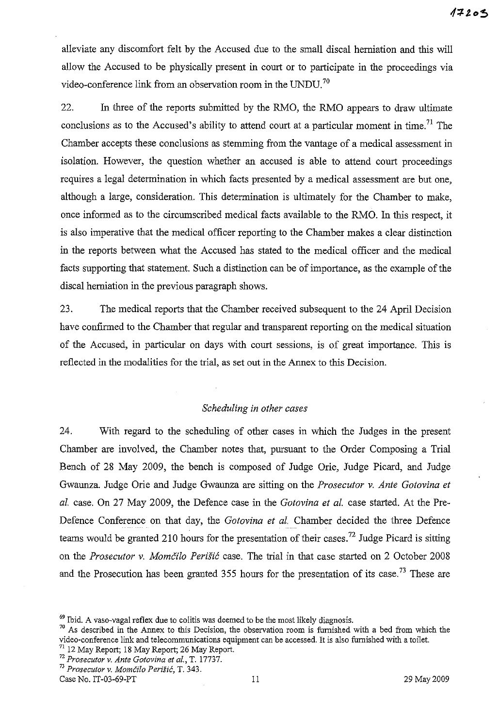alleviate any discomfort felt by the Accused due to the small discal herniation and this will allow the Accused to be physically present in court or to participate in the proceedings via video-conference link from an observation room in the UNDU.<sup>70</sup>

22. In three of the reports submitted by the RMO, the RMO appears to draw ultimate conclusions as to the Accused's ability to attend court at a particular moment in time.<sup>71</sup> The Chamber accepts these conclusions as stemming from the vantage of a medical assessment in isolation. However, the question whether an accused is able to attend court proceedings requires a legal determination in which facts presented by a medical assessment are but one, although a large, consideration. This determination is ultimately for the Chamber to make, once informed as to the circumscribed medical facts available to the RMO. In this respect, it is also imperative that the medical officer reporting to the Chamber makes a clear distinction in the reports between what the Accused has stated to the medical officer and the medical facts supporting that statement. Such a distinction can be of importance, as the example of the discal herniation in the previous paragraph shows.

23. The medical reports that the Chamber received subsequent to the 24 April Decision have confirmed to the Chamber that regular and transparent reporting on the medical situation of the Accused, in particular on days with court sessions, is of great importance. This is reflected in the modalities for the trial, as set out in the Annex to this Decision.

## *Scheduling in other cases*

24. With regard to the scheduling of other cases in which the Judges in the present Chamber are involved, the Chamber notes that, pursuant to the Order Composing a Trial Bench of 28 May 2009, the bench is composed of Judge Orie, Judge Picard, and Judge Gwaunza. Judge Orie and Judge Gwaunza are sitting on the *Prosecutor v. Ante Gotovina et al.* case. On 27 May 2009, the Defence case in the *Gotovina et al.* case started. At the Pre-Defence Conference on that day, the *Gotovina et al.* Chamber decided the three Defence teams would be granted 210 hours for the presentation of their cases.<sup>72</sup> Judge Picard is sitting on the *Prosecutor v. Momčilo Perišić* case. The trial in that case started on 2 October 2008 and the Prosecution has been granted  $355$  hours for the presentation of its case.<sup>73</sup> These are

 $\frac{71}{12}$  12 May Report; 18 May Report; 26 May Report.

Case No. IT-03-69-PT 11 29 May 2009

 $69$  Ibid. A vaso-vagal reflex due to colitis was deemed to be the most likely diagnosis.

 $70$  As described in the Annex to this Decision, the observation room is furnished with a bed from which the video-conference link and telecommunications equipment can be accessed. It is also furnished with a toilet.

<sup>72</sup>*Prosecutor v. Ante Gotovina et aI.,* T. 17737.

*<sup>73</sup> Prosecutor* **v.** *Momcilo Perisic,* **T. 343.**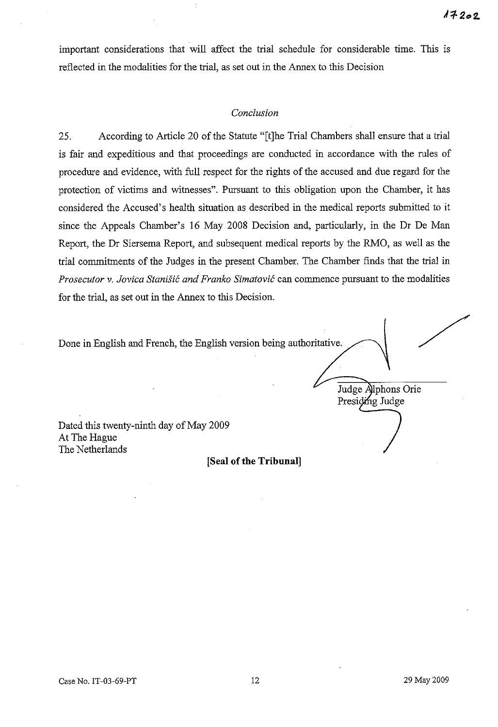important considerations that will affect the trial schedule for considerable time. This is reflected in the modalities for the trial, as set out in the Annex to this Decision

## *Conclusion*

25. According to Article 20 of the Statute "[t]he Trial Chambers shall ensure that a trial is fair and expeditious and that proceedings are conducted in accordance with the rules of procedure and evidence, with full respect for the rights of the accused and due regard for the protection of victims and witnesses". Pursuant to this obligation upon the Chamber, it has considered the Accused's health situation as described in the medical reports submitted to it since the Appeals Chamber's 16 May 2008 Decision and, particularly, in the Dr De Man Report, the Dr Siersema Report, and subsequent medical reports by the RMO, as well as the trial commitments of the Judges in the present Chamber. The Chamber finds that the trial in *Prosecutor* v. *Jovica Stani§ic and Franko Simatovic* can commence pursuant to the modalities for the trial, as set out in the Annex to this Decision.

Done in English and French, the English version being authoritative.

Judge Alphons Orie Presiding Judge

Dated this twenty-ninth day of May 2009 At The Hague The Netherlands

**[Seal of the Tribunal]**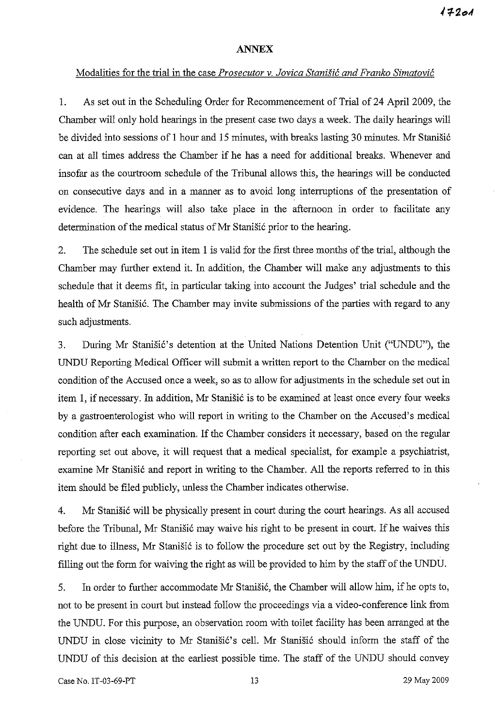#### **ANNEX**

## Modalities for the trial in the case *Prosecutor* v. *Jovica Stanisic and Franko Simatovic*

1. As set out in the Scheduling Order for Recommencement of Trial of24 April 2009, the Chamber will only hold hearings in the present case two days a week. The daily hearings will be divided into sessions of 1 hour and 15 minutes, with breaks lasting 30 minutes. Mr Stanišić can at all times address the Chamber if he has a need for additional breaks. Whenever and insofar as the courtroom schedule of the Tribunal allows this, the hearings will be conducted on consecutive days and in a manner as to avoid long interruptions of the presentation of evidence. The hearings will also take place in the afternoon in order to facilitate any determination of the medical status of Mr Stanišić prior to the hearing.

2. The schedule set out in item I is valid for the first three months of the trial, although the Chamber may further extend it. In addition, the Chamber will make any adjustments to this schedule that it deems fit, in particular taking into account the Judges' trial schedule and the health of Mr Stanišić. The Chamber may invite submissions of the parties with regard to any such adjustments.

3. During Mr Stanišić's detention at the United Nations Detention Unit ("UNDU"), the UNDU Reporting Medical Officer will submit a written report to the Chamber on the medical condition of the Accused once a week, so as to allow for adjustments in the schedule set out in item 1, if necessary. In addition, Mr Stanišić is to be examined at least once every four weeks by a gastroenterologist who will report in writing to the Chamber on the Accused's medical condition after each examination. If the Chamber considers it necessary, based on the regular reporting set out above, it will request that a medical specialist, for example a psychiatrist, examine Mr Stanišić and report in writing to the Chamber. All the reports referred to in this item should be filed publicly, unless the Chamber indicates otherwise.

4. Mr Stanišić will be physically present in court during the court hearings. As all accused before the Tribunal, Mr Stanišić may waive his right to be present in court. If he waives this right due to illness, Mr Stanišić is to follow the procedure set out by the Registry, including filling out the form for waiving the right as will be provided to him by the staff of the UNDU.

5. In order to further accommodate Mr Stanisić, the Chamber will allow him, if he opts to, not to be present in court but instead follow the proceedings via a video-conference link from the UNDU. For this purpose, an observation room with toilet facility has been arranged at the UNDU in close vicinity to Mr Stanišić's cell. Mr Stanišić should inform the staff of the UNDU of this decision at the earliest possible time. The staff of the UNDU should convey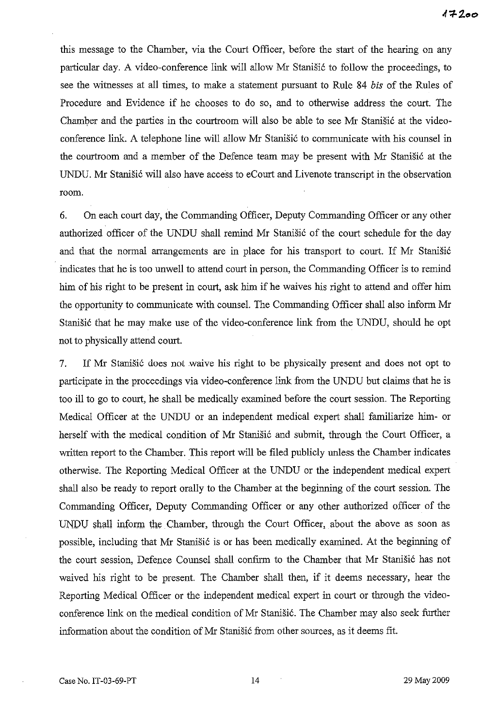this message to the Chamber, via the Court Officer, before the start of the hearing on any particular day. A video-conference link will allow Mr Stanišić to follow the proceedings, to see the witnesses at all times, to make a statement pursuant to Rule 84 *bis* of the Rules of Procedure and Evidence if he chooses to do so, and to otherwise address the court. The Chamber and the parties in the courtroom will also be able to see Mr Stanišić at the videoconference link. A telephone line will allow Mr Stanišić to communicate with his counsel in the courtroom and a member of the Defence team may be present with Mr Stanišić at the UNDU. Mr Stanišić will also have access to eCourt and Livenote transcript in the observation room.

6. On each court day, the Commanding Officer, Deputy Commanding Officer or any other authorized officer of the UNDU shall remind Mr Stanišić of the court schedule for the day and that the normal arrangements are in place for his transport to court. If Mr Stanišić indicates that he is too unwell to attend court in person, the Commanding Officer is to remind him of his right to be present in court, ask him if he waives his right to attend and offer him the opportunity to communicate with counsel. The Commanding Officer shall also inform Mr Stanišić that he may make use of the video-conference link from the UNDU, should he opt not to physically attend court.

7. If Mr Stanišić does not waive his right to be physically present and does not opt to participate in the proceedings via video-conference link from the UNDU but claims that he is too ill to go to court, he shall be medically examined before the court session. The Reporting Medical Officer at the UNDU or an independent medical expert shall familiarize him- or herself with the medical condition of Mr Stanišić and submit, through the Court Officer, a written report to the Chamber. This report will be filed publicly unless the Chamber indicates otherwise. The Reporting Medical Officer at the UNDU or the independent medical expert shall also be ready to report orally to the Chamber at the beginning of the court session. The Commanding Officer, Deputy Commanding Officer or any other authorized officer of the UNDU shall inform the Chamber, through the Court Officer, about the above as soon as possible, including that Mr Stanišić is or has been medically examined. At the beginning of the court session, Defence Counsel shall confirm to the Chamber that Mr Stanišić has not waived his right to be present. The Chamber shall then, if it deems necessary, hear the Reporting Medical Officer or the independent medical expert in court or through the videoconference link on the medical condition of Mr Stanišić. The Chamber may also seek further information about the condition of Mr Stanišić from other sources, as it deems fit.